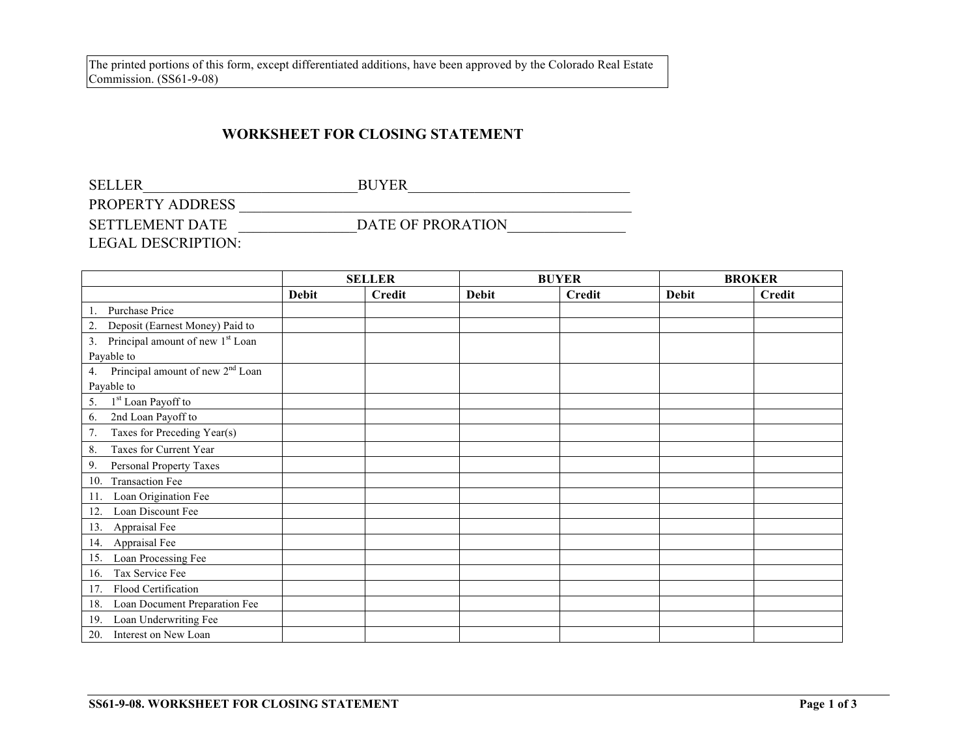## **WORKSHEET FOR CLOSING STATEMENT**

| <b>SELLER</b>             | <b>BUYER</b>      |
|---------------------------|-------------------|
| PROPERTY ADDRESS          |                   |
| <b>SETTLEMENT DATE</b>    | DATE OF PRORATION |
| <b>LEGAL DESCRIPTION:</b> |                   |

|                                                    | <b>SELLER</b> |               | <b>BUYER</b> |               |              | <b>BROKER</b> |  |
|----------------------------------------------------|---------------|---------------|--------------|---------------|--------------|---------------|--|
|                                                    | <b>Debit</b>  | <b>Credit</b> | <b>Debit</b> | <b>Credit</b> | <b>Debit</b> | <b>Credit</b> |  |
| Purchase Price                                     |               |               |              |               |              |               |  |
| Deposit (Earnest Money) Paid to<br>2.              |               |               |              |               |              |               |  |
| Principal amount of new 1 <sup>st</sup> Loan<br>3. |               |               |              |               |              |               |  |
| Payable to                                         |               |               |              |               |              |               |  |
| Principal amount of new 2 <sup>nd</sup> Loan<br>4. |               |               |              |               |              |               |  |
| Payable to                                         |               |               |              |               |              |               |  |
| 1 <sup>st</sup> Loan Payoff to<br>5.               |               |               |              |               |              |               |  |
| 2nd Loan Payoff to<br>6.                           |               |               |              |               |              |               |  |
| 7.<br>Taxes for Preceding Year(s)                  |               |               |              |               |              |               |  |
| Taxes for Current Year<br>8.                       |               |               |              |               |              |               |  |
| 9.<br>Personal Property Taxes                      |               |               |              |               |              |               |  |
| <b>Transaction Fee</b><br>10.                      |               |               |              |               |              |               |  |
| Loan Origination Fee<br>11.                        |               |               |              |               |              |               |  |
| Loan Discount Fee<br>12.                           |               |               |              |               |              |               |  |
| Appraisal Fee<br>13.                               |               |               |              |               |              |               |  |
| Appraisal Fee<br>14.                               |               |               |              |               |              |               |  |
| Loan Processing Fee<br>15.                         |               |               |              |               |              |               |  |
| Tax Service Fee<br>16.                             |               |               |              |               |              |               |  |
| Flood Certification<br>17.                         |               |               |              |               |              |               |  |
| Loan Document Preparation Fee<br>18.               |               |               |              |               |              |               |  |
| Loan Underwriting Fee<br>19.                       |               |               |              |               |              |               |  |
| Interest on New Loan<br>20.                        |               |               |              |               |              |               |  |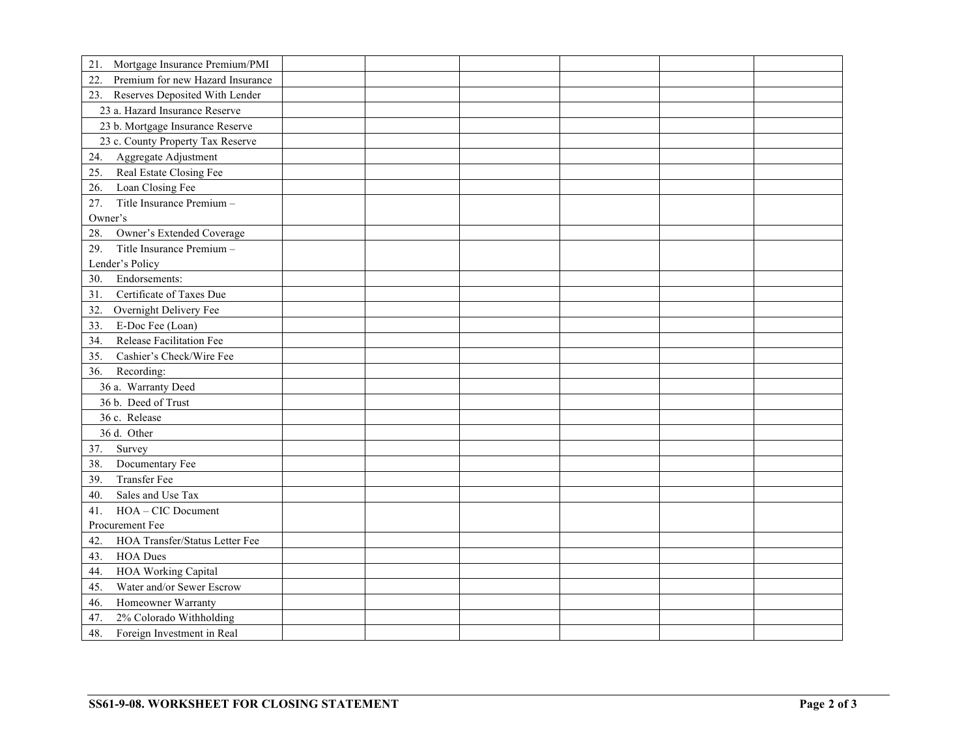| Mortgage Insurance Premium/PMI<br>21.   |  |  |  |
|-----------------------------------------|--|--|--|
| Premium for new Hazard Insurance<br>22. |  |  |  |
| 23. Reserves Deposited With Lender      |  |  |  |
| 23 a. Hazard Insurance Reserve          |  |  |  |
| 23 b. Mortgage Insurance Reserve        |  |  |  |
| 23 c. County Property Tax Reserve       |  |  |  |
| Aggregate Adjustment<br>24.             |  |  |  |
| Real Estate Closing Fee<br>25.          |  |  |  |
| Loan Closing Fee<br>26.                 |  |  |  |
| Title Insurance Premium -<br>27.        |  |  |  |
| Owner's                                 |  |  |  |
| Owner's Extended Coverage<br>28.        |  |  |  |
| 29.<br>Title Insurance Premium -        |  |  |  |
| Lender's Policy                         |  |  |  |
| Endorsements:<br>30.                    |  |  |  |
| Certificate of Taxes Due<br>31.         |  |  |  |
| Overnight Delivery Fee<br>32.           |  |  |  |
| E-Doc Fee (Loan)<br>33.                 |  |  |  |
| Release Facilitation Fee<br>34.         |  |  |  |
| Cashier's Check/Wire Fee<br>35.         |  |  |  |
| Recording:<br>36.                       |  |  |  |
| 36 a. Warranty Deed                     |  |  |  |
| 36 b. Deed of Trust                     |  |  |  |
| 36 c. Release                           |  |  |  |
| 36 d. Other                             |  |  |  |
| Survey<br>37.                           |  |  |  |
| Documentary Fee<br>38.                  |  |  |  |
| <b>Transfer Fee</b><br>39.              |  |  |  |
| Sales and Use Tax<br>40.                |  |  |  |
| HOA - CIC Document<br>41.               |  |  |  |
| Procurement Fee                         |  |  |  |
| HOA Transfer/Status Letter Fee<br>42    |  |  |  |
| <b>HOA Dues</b><br>43.                  |  |  |  |
| <b>HOA Working Capital</b><br>44.       |  |  |  |
| Water and/or Sewer Escrow<br>45.        |  |  |  |
| Homeowner Warranty<br>46.               |  |  |  |
| 2% Colorado Withholding<br>47.          |  |  |  |
| Foreign Investment in Real<br>48.       |  |  |  |